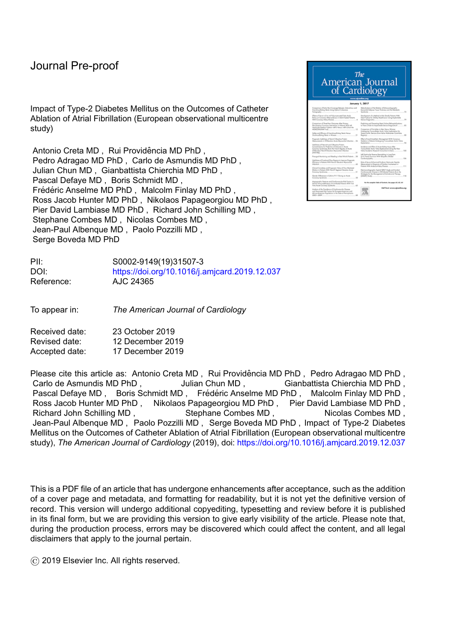Impact of Type-2 Diabetes Mellitus on the Outcomes of Catheter Ablation of Atrial Fibrillation (European observational multicentre study)

Antonio Creta MD, Rui Providência MD PhD, Pedro Adragao MD PhD , Carlo de Asmundis MD PhD , Julian Chun MD , Gianbattista Chierchia MD PhD , Pascal Defaye MD , Boris Schmidt MD , Frédéric Anselme MD PhD, Malcolm Finlay MD PhD, Ross Jacob Hunter MD PhD , Nikolaos Papageorgiou MD PhD , Pier David Lambiase MD PhD , Richard John Schilling MD , Stephane Combes MD , Nicolas Combes MD , Jean-Paul Albenque MD , Paolo Pozzilli MD , Serge Boveda MD PhD

| PII:       | S0002-9149(19)31507-3                         |
|------------|-----------------------------------------------|
| DOI:       | https://doi.org/10.1016/j.amjcard.2019.12.037 |
| Reference: | AJC 24365                                     |

To appear in: *The American Journal of Cardiology*

Received date: 23 October 2019 Revised date: 12 December 2019 Accepted date: 17 December 2019

Please cite this article as: Antonio Creta MD , Rui Providência MD PhD , Pedro Adragao MD PhD , Carlo de Asmundis MD PhD , Carlo de Asmundis MD PhD , Gianbattista Chierchia MD PhD , Pascal Defaye MD, Boris Schmidt MD, Frédéric Anselme MD PhD, Malcolm Finlay MD PhD, Ross Jacob Hunter MD PhD, Nikolaos Papageorgiou MD PhD, Pier David Lambiase MD PhD, Richard John Schilling MD, Stephane Combes MD, Nicolas Combes MD, Jean-Paul Albenque MD , Paolo Pozzilli MD , Serge Boveda MD PhD , Impact of Type-2 Diabetes Mellitus on the Outcomes of Catheter Ablation of Atrial Fibrillation (European observational multicentre study), *The American Journal of Cardiology* (2019), doi: <https://doi.org/10.1016/j.amjcard.2019.12.037>

This is a PDF file of an article that has undergone enhancements after acceptance, such as the addition of a cover page and metadata, and formatting for readability, but it is not yet the definitive version of record. This version will undergo additional copyediting, typesetting and review before it is published in its final form, but we are providing this version to give early visibility of the article. Please note that, during the production process, errors may be discovered which could affect the content, and all legal disclaimers that apply to the journal pertain.

© 2019 Elsevier Inc. All rights reserved.

| The<br>American Journal<br>of Cardiology<br>www.ajronline.org<br>Jonuary 1, 2017                                                                                                                                           |                                                                                                                                                                                                                                    |  |  |  |  |  |  |
|----------------------------------------------------------------------------------------------------------------------------------------------------------------------------------------------------------------------------|------------------------------------------------------------------------------------------------------------------------------------------------------------------------------------------------------------------------------------|--|--|--|--|--|--|
| Comparison of Early Strut Coverage Between Johanskinus and<br>Executives/Europ Sterey Using Optical Cohenena<br>Tonography.                                                                                                | Waterfunksia of the Relation of Echocambographic<br>Roomsfiel Aducus Texas Trickway and the Members's<br>$\overline{r}$<br>Scholarsha.                                                                                             |  |  |  |  |  |  |
| Offering all Service and the real Polypreson rated Farty Actube<br>Return on Coronary, Mharcacheva's in Statis Frankel Patants.<br>With Coronary Artery Bluezue                                                            | Development of a Marked to Risk Strates Pattern, Walk-<br>Heart Fallane for 300kg/Readmission Using Insplannishe<br>34<br>Genius Diseasenting                                                                                      |  |  |  |  |  |  |
| Congorium of Three Year Outcomes After History<br>Recursioners Consens Intervention in Return W/A LA<br>Venticular Eastice Frankier sold's Vanua 140% (From Re-<br>12<br>HOEDDAILAN Truck                                  | Predicting and Preventing Heart Felixer Rehard All Antiuriums<br>& There is Role for Ingits toble Decise Doppositor?<br>85<br>Comparison of Variables in Men Venus Women<br>Undergring Transcallator Auric Valve Ingilaristics for |  |  |  |  |  |  |
| John and Ellowy of European Dates Terms<br>H<br>Septemblishing Sterill, in Wilsman                                                                                                                                         | Sears Auric Stanzis (hun Islam Mulkoener Controller<br>66<br>Reported                                                                                                                                                              |  |  |  |  |  |  |
| Progressic Undulness of Series' Chinactive Protein<br>Massurance in STE proton Ande Myscardial Infantine<br>34                                                                                                             | <b>Eller of Local Aventure Monogener WA Constitute</b><br>Sedation in Ratents Undergaing Transacteries Austa Value<br>14<br>leadyrantes.                                                                                           |  |  |  |  |  |  |
| Undulness of Feb.in-R and Chearties Protein.<br>Consentations he Poplition of Gutowa in Acute<br>Coronary Syndromes Brom the French Registry of Acute<br>ST-Elevator Nor-57 Elevator-Myscordial Infantion<br>PASSAGE<br>31 | Incidence and Ellast of Acute Kolney Injury. Hiter<br>Transportune Austic Value Replacement Using the New<br>Value Academic Research Consortium Criteria.<br>w<br>Left Vantricular Reverse Remodeling in Long Farm                 |  |  |  |  |  |  |
| Prosuged Woodschop and Elizabry in Real World Patents  38<br>Usefulness of Frankistof Floye Reserve to Instrume Dispersatio                                                                                                | (a12 Read Survivors MOA Missourice Divised)<br>104<br>Candonysportu.                                                                                                                                                               |  |  |  |  |  |  |
| Hickory in Fature With North Electric Myseletial<br>45<br>Machie.                                                                                                                                                          | Role of Serum Nillersingl Proditoin Nettington Papering<br>Mecanisms in Document of Cardiac Inchesters in<br><b>STE</b><br>Rotario Willi Anderson/aloy Diastas.                                                                    |  |  |  |  |  |  |
| Clearal Condition and Response Walue al Fise Medicinal<br>Dilatun in Fataris With Nord? Segment Devotion Acute<br>u<br>Conney Soulteres.                                                                                   | Electrocombographic Spotsal GRS/I Angle and Incident<br>Confinencular Disease in HV informal Parison, Brun Re-<br>Strategies for the Monsporters of Anti-atovirul Therapy                                                          |  |  |  |  |  |  |
| Geraler Differences in Calls to 9111 During on Acute<br>58<br>Coronary Syndhome.                                                                                                                                           | <b>DANET TAINS</b><br>118                                                                                                                                                                                                          |  |  |  |  |  |  |
| Angiographic Features and Cardiovascular Rak Facture in<br>Human Immunasian Lineral Virus Infected Putterin, WWR First<br>KD:<br>Time Acute Coronary Tyndrome.                                                             | for the complete Tolds of Excitents, line pages AS AS Ad                                                                                                                                                                           |  |  |  |  |  |  |
| Analysis of the Prevolence of Cardiovascular Disease<br>and Associated Bak Factors for European American and<br>African American Rupchstone in the State of Pennsylvania.<br>$2005 - 2008$                                 | Full Texts www.ajrandine.org                                                                                                                                                                                                       |  |  |  |  |  |  |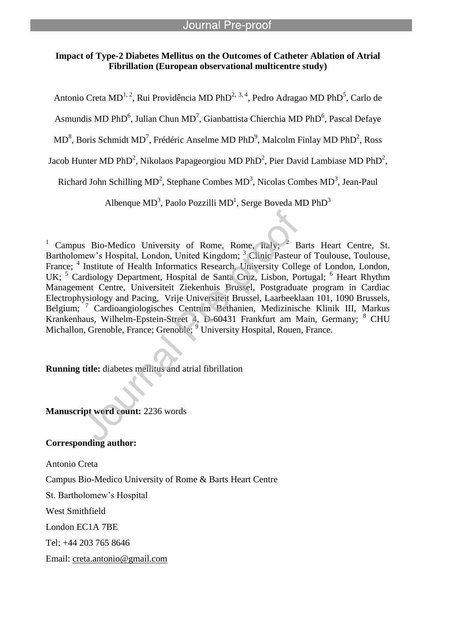# **Impact of Type-2 Diabetes Mellitus on the Outcomes of Catheter Ablation of Atrial Fibrillation (European observational multicentre study)**

l

Antonio Creta MD<sup>1, 2</sup>, Rui Providência MD PhD<sup>2, 3, 4</sup>, Pedro Adragao MD PhD<sup>5</sup>, Carlo de

Asmundis MD PhD<sup>6</sup>, Julian Chun MD<sup>7</sup>, Gianbattista Chierchia MD PhD<sup>6</sup>, Pascal Defaye

 $MD<sup>8</sup>$ , Boris Schmidt  $MD<sup>7</sup>$ , Frédéric Anselme MD PhD<sup>9</sup>, Malcolm Finlay MD PhD<sup>2</sup>, Ross

Jacob Hunter MD PhD<sup>2</sup>, Nikolaos Papageorgiou MD PhD<sup>2</sup>, Pier David Lambiase MD PhD<sup>2</sup>,

Richard John Schilling  $MD^2$ , Stephane Combes  $MD^3$ , Nicolas Combes  $MD^3$ , Jean-Paul

Albenque MD<sup>3</sup>, Paolo Pozzilli MD<sup>1</sup>, Serge Boveda MD PhD<sup>3</sup>

<sup>1</sup> Campus Bio-Medico University of Rome, Rome, Italy;  $2$  Barts Heart Centre, St. Bartholomew's Hospital, London, United Kingdom; <sup>3</sup> Clinic Pasteur of Toulouse, Toulouse, France; <sup>4</sup> Institute of Health Informatics Research, University College of London, London, UK; <sup>5</sup> Cardiology Department, Hospital de Santa Cruz, Lisbon, Portugal; <sup>6</sup> Heart Rhythm Management Centre, Universiteit Ziekenhuis Brussel, Postgraduate program in Cardiac Electrophysiology and Pacing, Vrije Universiteit Brussel, Laarbeeklaan 101, 1090 Brussels, Belgium; <sup>7</sup> Cardioangiologisches Centrum Bethanien, Medizinische Klinik III, Markus Krankenhaus, Wilhelm-Epstein-Street 4, D-60431 Frankfurt am Main, Germany; <sup>8</sup> CHU Michallon, Grenoble, France; Grenoble; <sup>9</sup> University Hospital, Rouen, France.

**Running title:** diabetes mellitus and atrial fibrillation

**Manuscript word count:** 2236 words

## **Corresponding author:**

Antonio Creta Campus Bio-Medico University of Rome & Barts Heart Centre St. Bartholomew's Hospital West Smithfield London EC1A 7BE Tel: +44 203 765 8646 Email: creta.antonio@gmail.com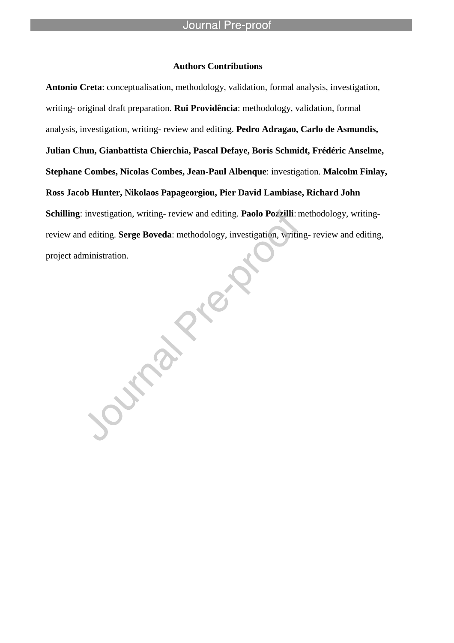#### **Authors Contributions**

l

**Antonio Creta**: conceptualisation, methodology, validation, formal analysis, investigation, writing- original draft preparation. **Rui Providência**: methodology, validation, formal analysis, investigation, writing- review and editing. **Pedro Adragao, Carlo de Asmundis, Julian Chun, Gianbattista Chierchia, Pascal Defaye, Boris Schmidt, Frédéric Anselme, Stephane Combes, Nicolas Combes, Jean-Paul Albenque**: investigation. **Malcolm Finlay, Ross Jacob Hunter, Nikolaos Papageorgiou, Pier David Lambiase, Richard John Schilling**: investigation, writing- review and editing. **Paolo Pozzilli**: methodology, writingreview and editing. **Serge Boveda**: methodology, investigation, writing- review and editing, project administration.

**Algeby**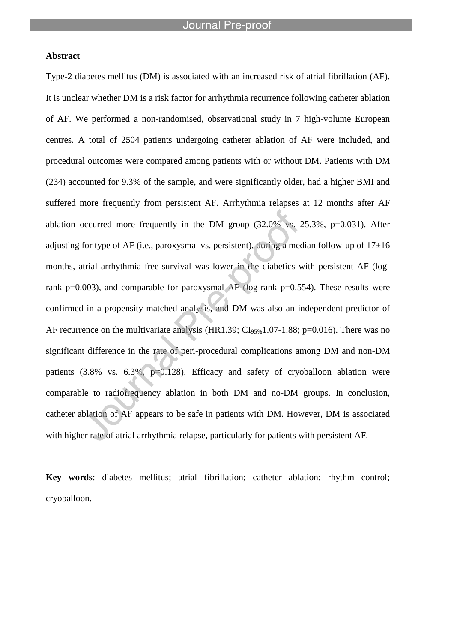#### **Abstract**

Type-2 diabetes mellitus (DM) is associated with an increased risk of atrial fibrillation (AF). It is unclear whether DM is a risk factor for arrhythmia recurrence following catheter ablation of AF. We performed a non-randomised, observational study in 7 high-volume European centres. A total of 2504 patients undergoing catheter ablation of AF were included, and procedural outcomes were compared among patients with or without DM. Patients with DM (234) accounted for 9.3% of the sample, and were significantly older, had a higher BMI and suffered more frequently from persistent AF. Arrhythmia relapses at 12 months after AF ablation occurred more frequently in the DM group  $(32.0\% \text{ vs. } 25.3\%, \text{ p=0.031}).$  After adjusting for type of AF (i.e., paroxysmal vs. persistent), during a median follow-up of  $17\pm16$ months, atrial arrhythmia free-survival was lower in the diabetics with persistent AF (logrank p=0.003), and comparable for paroxysmal AF (log-rank p=0.554). These results were confirmed in a propensity-matched analysis, and DM was also an independent predictor of AF recurrence on the multivariate analysis (HR1.39;  $CI_{95\%}1.07-1.88$ ; p=0.016). There was no significant difference in the rate of peri-procedural complications among DM and non-DM patients (3.8% vs. 6.3%, p=0.128). Efficacy and safety of cryoballoon ablation were comparable to radiofrequency ablation in both DM and no-DM groups. In conclusion, catheter ablation of AF appears to be safe in patients with DM. However, DM is associated with higher rate of atrial arrhythmia relapse, particularly for patients with persistent AF.

**Key words**: diabetes mellitus; atrial fibrillation; catheter ablation; rhythm control; cryoballoon.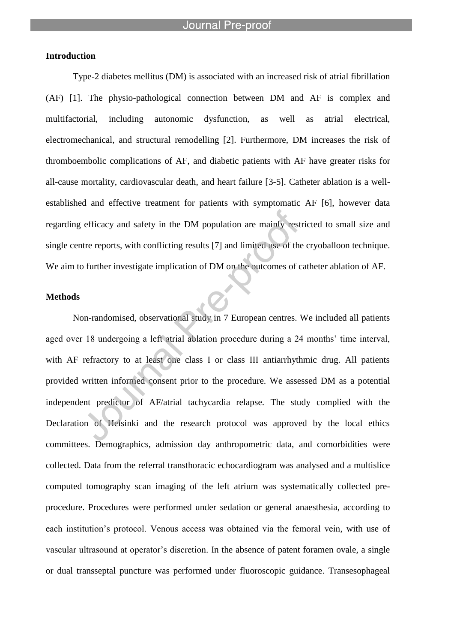# **Introduction**

Type-2 diabetes mellitus (DM) is associated with an increased risk of atrial fibrillation (AF) [1]. The physio-pathological connection between DM and AF is complex and multifactorial, including autonomic dysfunction, as well as atrial electrical, electromechanical, and structural remodelling [2]. Furthermore, DM increases the risk of thromboembolic complications of AF, and diabetic patients with AF have greater risks for all-cause mortality, cardiovascular death, and heart failure [3-5]. Catheter ablation is a wellestablished and effective treatment for patients with symptomatic AF [6], however data regarding efficacy and safety in the DM population are mainly restricted to small size and single centre reports, with conflicting results [7] and limited use of the cryoballoon technique. We aim to further investigate implication of DM on the outcomes of catheter ablation of AF.

### **Methods**

Non-randomised, observational study in 7 European centres. We included all patients aged over 18 undergoing a left atrial ablation procedure during a 24 months' time interval, with AF refractory to at least one class I or class III antiarrhythmic drug. All patients provided written informed consent prior to the procedure. We assessed DM as a potential independent predictor of AF/atrial tachycardia relapse. The study complied with the Declaration of Helsinki and the research protocol was approved by the local ethics committees. Demographics, admission day anthropometric data, and comorbidities were collected. Data from the referral transthoracic echocardiogram was analysed and a multislice computed tomography scan imaging of the left atrium was systematically collected preprocedure. Procedures were performed under sedation or general anaesthesia, according to each institution's protocol. Venous access was obtained via the femoral vein, with use of vascular ultrasound at operator's discretion. In the absence of patent foramen ovale, a single or dual transseptal puncture was performed under fluoroscopic guidance. Transesophageal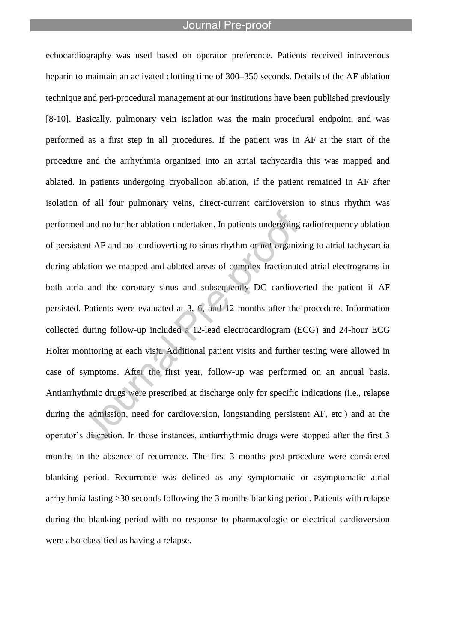l

echocardiography was used based on operator preference. Patients received intravenous heparin to maintain an activated clotting time of 300–350 seconds. Details of the AF ablation technique and peri-procedural management at our institutions have been published previously [8-10]. Basically, pulmonary vein isolation was the main procedural endpoint, and was performed as a first step in all procedures. If the patient was in AF at the start of the procedure and the arrhythmia organized into an atrial tachycardia this was mapped and ablated. In patients undergoing cryoballoon ablation, if the patient remained in AF after isolation of all four pulmonary veins, direct-current cardioversion to sinus rhythm was performed and no further ablation undertaken. In patients undergoing radiofrequency ablation of persistent AF and not cardioverting to sinus rhythm or not organizing to atrial tachycardia during ablation we mapped and ablated areas of complex fractionated atrial electrograms in both atria and the coronary sinus and subsequently DC cardioverted the patient if AF persisted. Patients were evaluated at 3, 6, and 12 months after the procedure. Information collected during follow-up included a 12-lead electrocardiogram (ECG) and 24-hour ECG Holter monitoring at each visit. Additional patient visits and further testing were allowed in case of symptoms. After the first year, follow-up was performed on an annual basis. Antiarrhythmic drugs were prescribed at discharge only for specific indications (i.e., relapse during the admission, need for cardioversion, longstanding persistent AF, etc.) and at the operator's discretion. In those instances, antiarrhythmic drugs were stopped after the first 3 months in the absence of recurrence. The first 3 months post-procedure were considered blanking period. Recurrence was defined as any symptomatic or asymptomatic atrial arrhythmia lasting >30 seconds following the 3 months blanking period. Patients with relapse during the blanking period with no response to pharmacologic or electrical cardioversion were also classified as having a relapse.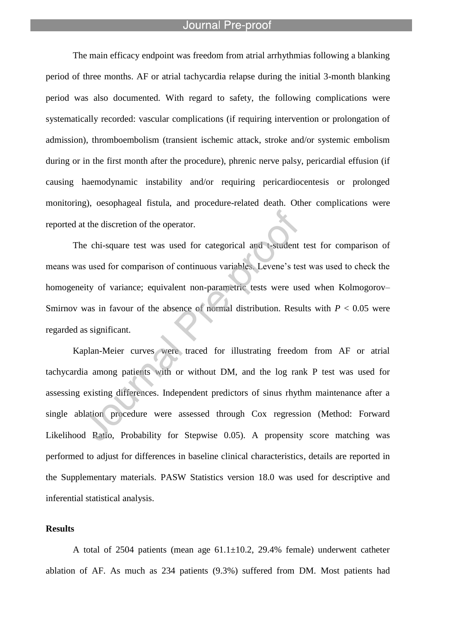l

The main efficacy endpoint was freedom from atrial arrhythmias following a blanking period of three months. AF or atrial tachycardia relapse during the initial 3-month blanking period was also documented. With regard to safety, the following complications were systematically recorded: vascular complications (if requiring intervention or prolongation of admission), thromboembolism (transient ischemic attack, stroke and/or systemic embolism during or in the first month after the procedure), phrenic nerve palsy, pericardial effusion (if causing haemodynamic instability and/or requiring pericardiocentesis or prolonged monitoring), oesophageal fistula, and procedure-related death. Other complications were reported at the discretion of the operator.

The chi-square test was used for categorical and t-student test for comparison of means was used for comparison of continuous variables. Levene's test was used to check the homogeneity of variance; equivalent non-parametric tests were used when Kolmogorov– Smirnov was in favour of the absence of normal distribution. Results with  $P < 0.05$  were regarded as significant.

Kaplan-Meier curves were traced for illustrating freedom from AF or atrial tachycardia among patients with or without DM, and the log rank P test was used for assessing existing differences. Independent predictors of sinus rhythm maintenance after a single ablation procedure were assessed through Cox regression (Method: Forward Likelihood Ratio, Probability for Stepwise 0.05). A propensity score matching was performed to adjust for differences in baseline clinical characteristics, details are reported in the Supplementary materials. PASW Statistics version 18.0 was used for descriptive and inferential statistical analysis.

#### **Results**

A total of 2504 patients (mean age  $61.1 \pm 10.2$ , 29.4% female) underwent catheter ablation of AF. As much as 234 patients (9.3%) suffered from DM. Most patients had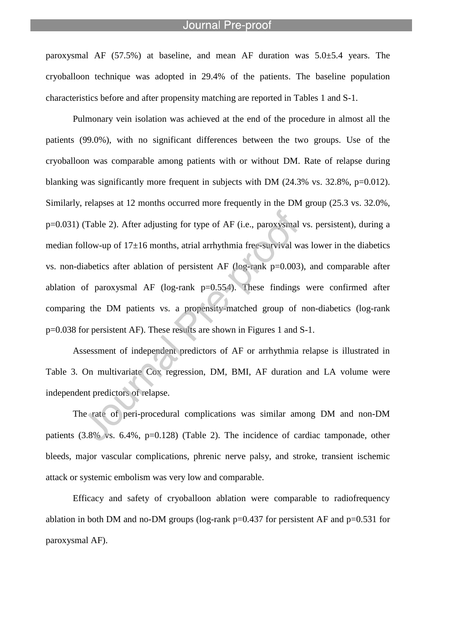paroxysmal AF  $(57.5\%)$  at baseline, and mean AF duration was  $5.0\pm5.4$  years. The cryoballoon technique was adopted in 29.4% of the patients. The baseline population characteristics before and after propensity matching are reported in Tables 1 and S-1.

l

Pulmonary vein isolation was achieved at the end of the procedure in almost all the patients (99.0%), with no significant differences between the two groups. Use of the cryoballoon was comparable among patients with or without DM. Rate of relapse during blanking was significantly more frequent in subjects with DM (24.3% vs. 32.8%, p=0.012). Similarly, relapses at 12 months occurred more frequently in the DM group (25.3 vs. 32.0%, p=0.031) (Table 2). After adjusting for type of AF (i.e., paroxysmal vs. persistent), during a median follow-up of 17±16 months, atrial arrhythmia free-survival was lower in the diabetics vs. non-diabetics after ablation of persistent AF (log-rank p=0.003), and comparable after ablation of paroxysmal AF (log-rank  $p=0.554$ ). These findings were confirmed after comparing the DM patients vs. a propensity-matched group of non-diabetics (log-rank p=0.038 for persistent AF). These results are shown in Figures 1 and S-1.

Assessment of independent predictors of AF or arrhythmia relapse is illustrated in Table 3. On multivariate Cox regression, DM, BMI, AF duration and LA volume were independent predictors of relapse.

The rate of peri-procedural complications was similar among DM and non-DM patients (3.8% vs. 6.4%, p=0.128) (Table 2). The incidence of cardiac tamponade, other bleeds, major vascular complications, phrenic nerve palsy, and stroke, transient ischemic attack or systemic embolism was very low and comparable.

Efficacy and safety of cryoballoon ablation were comparable to radiofrequency ablation in both DM and no-DM groups (log-rank  $p=0.437$  for persistent AF and  $p=0.531$  for paroxysmal AF).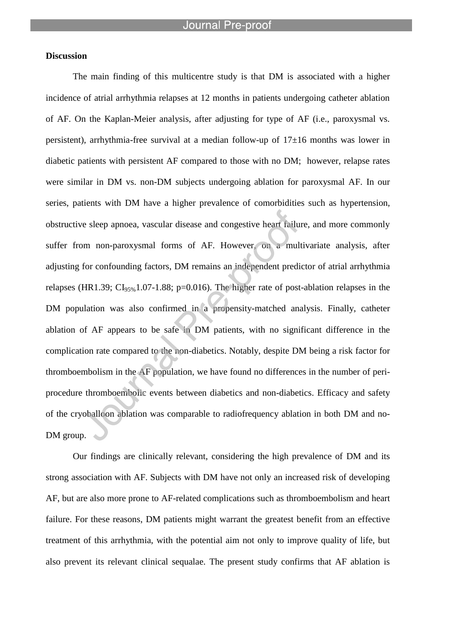#### **Discussion**

The main finding of this multicentre study is that DM is associated with a higher incidence of atrial arrhythmia relapses at 12 months in patients undergoing catheter ablation of AF. On the Kaplan-Meier analysis, after adjusting for type of AF (i.e., paroxysmal vs. persistent), arrhythmia-free survival at a median follow-up of  $17\pm16$  months was lower in diabetic patients with persistent AF compared to those with no DM; however, relapse rates were similar in DM vs. non-DM subjects undergoing ablation for paroxysmal AF. In our series, patients with DM have a higher prevalence of comorbidities such as hypertension, obstructive sleep apnoea, vascular disease and congestive heart failure, and more commonly suffer from non-paroxysmal forms of AF. However, on a multivariate analysis, after adjusting for confounding factors, DM remains an independent predictor of atrial arrhythmia relapses (HR1.39;  $CI_{95\%}1.07-1.88$ ; p=0.016). The higher rate of post-ablation relapses in the DM population was also confirmed in a propensity-matched analysis. Finally, catheter ablation of AF appears to be safe in DM patients, with no significant difference in the complication rate compared to the non-diabetics. Notably, despite DM being a risk factor for thromboembolism in the AF population, we have found no differences in the number of periprocedure thromboembolic events between diabetics and non-diabetics. Efficacy and safety of the cryoballoon ablation was comparable to radiofrequency ablation in both DM and no-DM group.

Our findings are clinically relevant, considering the high prevalence of DM and its strong association with AF. Subjects with DM have not only an increased risk of developing AF, but are also more prone to AF-related complications such as thromboembolism and heart failure. For these reasons, DM patients might warrant the greatest benefit from an effective treatment of this arrhythmia, with the potential aim not only to improve quality of life, but also prevent its relevant clinical sequalae. The present study confirms that AF ablation is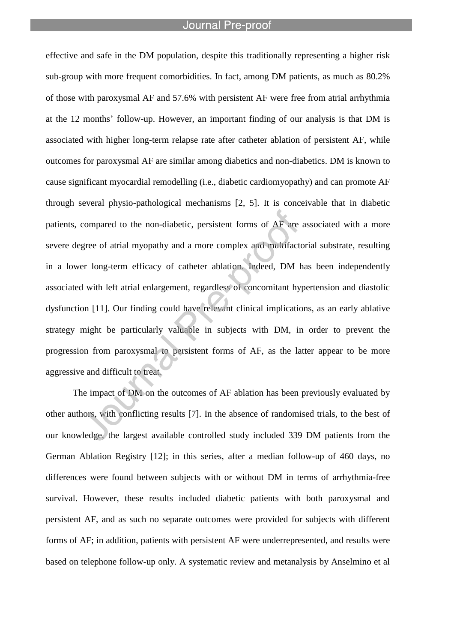l

effective and safe in the DM population, despite this traditionally representing a higher risk sub-group with more frequent comorbidities. In fact, among DM patients, as much as 80.2% of those with paroxysmal AF and 57.6% with persistent AF were free from atrial arrhythmia at the 12 months' follow-up. However, an important finding of our analysis is that DM is associated with higher long-term relapse rate after catheter ablation of persistent AF, while outcomes for paroxysmal AF are similar among diabetics and non-diabetics. DM is known to cause significant myocardial remodelling (i.e., diabetic cardiomyopathy) and can promote AF through several physio-pathological mechanisms [2, 5]. It is conceivable that in diabetic patients, compared to the non-diabetic, persistent forms of AF are associated with a more severe degree of atrial myopathy and a more complex and multifactorial substrate, resulting in a lower long-term efficacy of catheter ablation. Indeed, DM has been independently associated with left atrial enlargement, regardless of concomitant hypertension and diastolic dysfunction [11]. Our finding could have relevant clinical implications, as an early ablative strategy might be particularly valuable in subjects with DM, in order to prevent the progression from paroxysmal to persistent forms of AF, as the latter appear to be more aggressive and difficult to treat.

The impact of DM on the outcomes of AF ablation has been previously evaluated by other authors, with conflicting results [7]. In the absence of randomised trials, to the best of our knowledge, the largest available controlled study included 339 DM patients from the German Ablation Registry [12]; in this series, after a median follow-up of 460 days, no differences were found between subjects with or without DM in terms of arrhythmia-free survival. However, these results included diabetic patients with both paroxysmal and persistent AF, and as such no separate outcomes were provided for subjects with different forms of AF; in addition, patients with persistent AF were underrepresented, and results were based on telephone follow-up only. A systematic review and metanalysis by Anselmino et al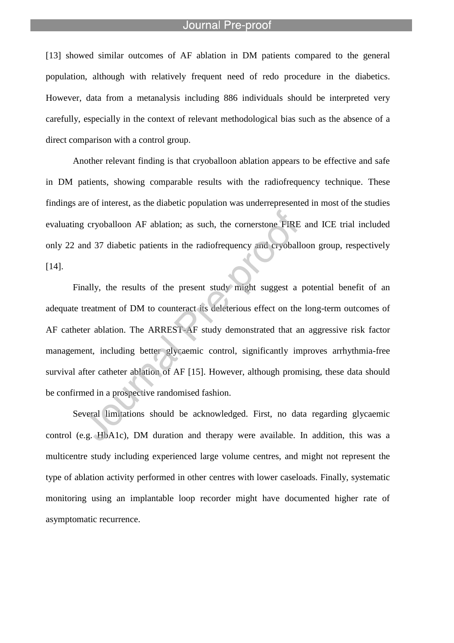l

[13] showed similar outcomes of AF ablation in DM patients compared to the general population, although with relatively frequent need of redo procedure in the diabetics. However, data from a metanalysis including 886 individuals should be interpreted very carefully, especially in the context of relevant methodological bias such as the absence of a direct comparison with a control group.

Another relevant finding is that cryoballoon ablation appears to be effective and safe in DM patients, showing comparable results with the radiofrequency technique. These findings are of interest, as the diabetic population was underrepresented in most of the studies evaluating cryoballoon AF ablation; as such, the cornerstone FIRE and ICE trial included only 22 and 37 diabetic patients in the radiofrequency and cryoballoon group, respectively [14].

Finally, the results of the present study might suggest a potential benefit of an adequate treatment of DM to counteract its deleterious effect on the long-term outcomes of AF catheter ablation. The ARREST-AF study demonstrated that an aggressive risk factor management, including better glycaemic control, significantly improves arrhythmia-free survival after catheter ablation of AF [15]. However, although promising, these data should be confirmed in a prospective randomised fashion.

Several limitations should be acknowledged. First, no data regarding glycaemic control (e.g. HbA1c), DM duration and therapy were available. In addition, this was a multicentre study including experienced large volume centres, and might not represent the type of ablation activity performed in other centres with lower caseloads. Finally, systematic monitoring using an implantable loop recorder might have documented higher rate of asymptomatic recurrence.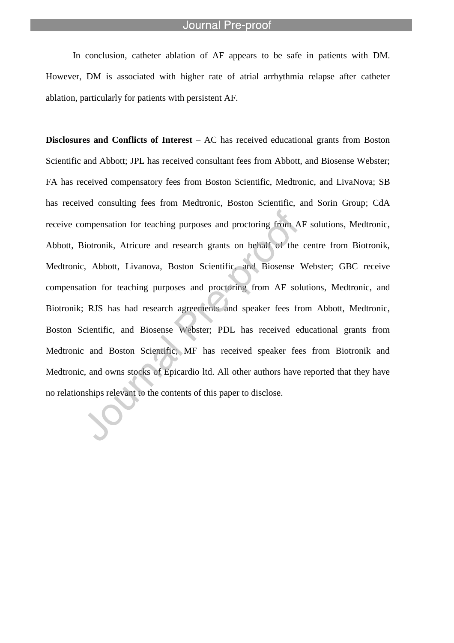In conclusion, catheter ablation of AF appears to be safe in patients with DM. However, DM is associated with higher rate of atrial arrhythmia relapse after catheter ablation, particularly for patients with persistent AF.

l

**Disclosures and Conflicts of Interest** – AC has received educational grants from Boston Scientific and Abbott; JPL has received consultant fees from Abbott, and Biosense Webster; FA has received compensatory fees from Boston Scientific, Medtronic, and LivaNova; SB has received consulting fees from Medtronic, Boston Scientific, and Sorin Group; CdA receive compensation for teaching purposes and proctoring from AF solutions, Medtronic, Abbott, Biotronik, Atricure and research grants on behalf of the centre from Biotronik, Medtronic, Abbott, Livanova, Boston Scientific, and Biosense Webster; GBC receive compensation for teaching purposes and proctoring from AF solutions, Medtronic, and Biotronik; RJS has had research agreements and speaker fees from Abbott, Medtronic, Boston Scientific, and Biosense Webster; PDL has received educational grants from Medtronic and Boston Scientific; MF has received speaker fees from Biotronik and Medtronic, and owns stocks of Epicardio ltd. All other authors have reported that they have no relationships relevant to the contents of this paper to disclose.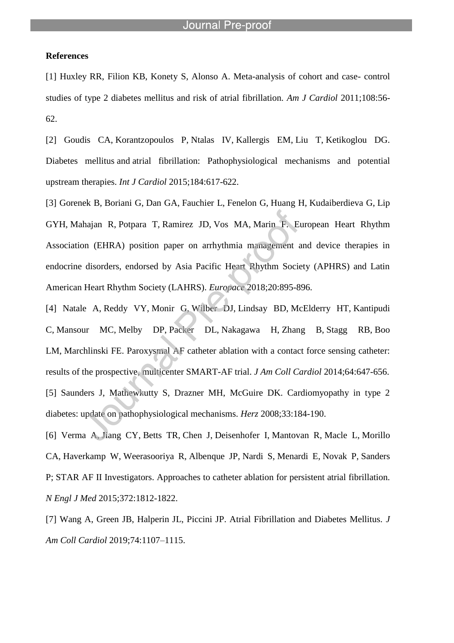l

#### **References**

[1] Huxley RR, Filion KB, Konety S, Alonso A. Meta-analysis of cohort and case- control studies of type 2 diabetes mellitus and risk of atrial fibrillation. *Am J Cardiol* 2011;108:56- 62.

[2] Goudis CA, Korantzopoulos P, Ntalas IV, Kallergis EM, Liu T, Ketikoglou DG. Diabetes mellitus and atrial fibrillation: Pathophysiological mechanisms and potential upstream therapies. *Int J Cardiol* 2015;184:617-622.

[3] Gorenek B, Boriani G, Dan GA, Fauchier L, Fenelon G, Huang H, Kudaiberdieva G, Lip GYH, Mahajan R, Potpara T, Ramirez JD, Vos MA, Marin F. European Heart Rhythm Association (EHRA) position paper on arrhythmia management and device therapies in endocrine disorders, endorsed by Asia Pacific Heart Rhythm Society (APHRS) and Latin American Heart Rhythm Society (LAHRS). *Europace* 2018;20:895-896.

[4] Natale A, Reddy VY, Monir G, Wilber DJ, Lindsay BD, McElderry HT, Kantipudi C, Mansour MC, Melby DP, Packer DL, Nakagawa H, Zhang B, Stagg RB, Boo LM, Marchlinski FE. Paroxysmal AF catheter ablation with a contact force sensing catheter: results of the prospective, multicenter SMART-AF trial. *J Am Coll Cardiol* 2014;64:647-656. [5] Saunders J, Mathewkutty S, Drazner MH, McGuire DK. Cardiomyopathy in type 2 diabetes: update on pathophysiological mechanisms. *Herz* 2008;33:184-190.

[6] Verma A, Jiang CY, Betts TR, Chen J, Deisenhofer I, Mantovan R, Macle L, Morillo CA, Haverkamp W, Weerasooriya R, Albenque JP, Nardi S, Menardi E, Novak P, Sanders P; STAR AF II Investigators. Approaches to catheter ablation for persistent atrial fibrillation. *N Engl J Med* 2015;372:1812-1822.

[7] Wang A, Green JB, Halperin JL, Piccini JP. Atrial Fibrillation and Diabetes Mellitus. *J Am Coll Cardiol* 2019;74:1107–1115.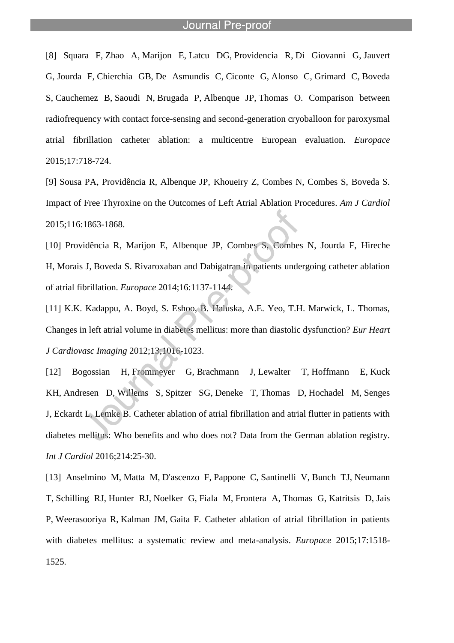l

[8] Squara F, Zhao A, Marijon E, Latcu DG, Providencia R, Di Giovanni G, Jauvert G, Jourda F, Chierchia GB, De Asmundis C, Ciconte G, Alonso C, Grimard C, Boveda S, Cauchemez B, Saoudi N, Brugada P, Albenque JP, Thomas O. Comparison between radiofrequency with contact force-sensing and second-generation cryoballoon for paroxysmal atrial fibrillation catheter ablation: a multicentre European evaluation. *Europace* 2015;17:718-724.

[9] Sousa PA, Providência R, Albenque JP, Khoueiry Z, Combes N, Combes S, Boveda S. Impact of Free Thyroxine on the Outcomes of Left Atrial Ablation Procedures. *Am J Cardiol* 2015;116:1863-1868.

[10] Providência R, Marijon E, Albenque JP, Combes S, Combes N, Jourda F, Hireche H, Morais J, Boveda S. Rivaroxaban and Dabigatran in patients undergoing catheter ablation of atrial fibrillation. *Europace* 2014;16:1137-1144.

[11] K.K. Kadappu, A. Boyd, S. Eshoo, B. Haluska, A.E. Yeo, T.H. Marwick, L. Thomas, Changes in left atrial volume in diabetes mellitus: more than diastolic dysfunction? *Eur Heart J Cardiovasc Imaging* 2012;13;1016-1023.

[12] Bogossian H, Frommeyer G, Brachmann J, Lewalter T, Hoffmann E, Kuck KH, Andresen D, Willems S, Spitzer SG, Deneke T, Thomas D, Hochadel M, Senges J, Eckardt L, Lemke B. Catheter ablation of atrial fibrillation and atrial flutter in patients with diabetes mellitus: Who benefits and who does not? Data from the German ablation registry. *Int J Cardiol* 2016;214:25-30.

[13] Anselmino M, Matta M, D'ascenzo F, Pappone C, Santinelli V, Bunch TJ, Neumann T, Schilling RJ, Hunter RJ, Noelker G, Fiala M, Frontera A, Thomas G, Katritsis D, Jais P, Weerasooriya R, Kalman JM, Gaita F. Catheter ablation of atrial fibrillation in patients with diabetes mellitus: a systematic review and meta-analysis. *Europace* 2015;17:1518- 1525.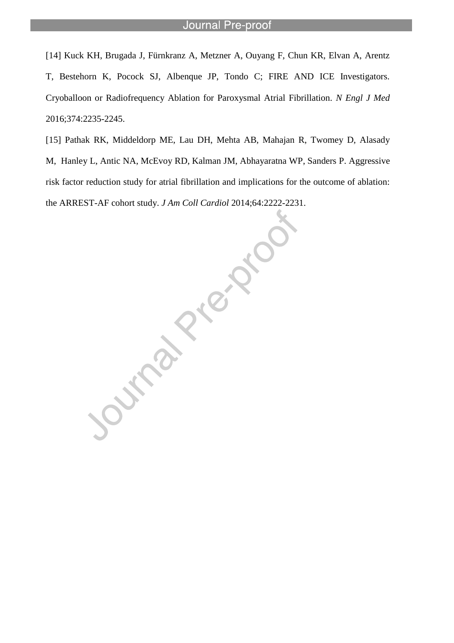l

[14] Kuck KH, Brugada J, Fürnkranz A, Metzner A, Ouyang F, Chun KR, Elvan A, Arentz T, Bestehorn K, Pocock SJ, Albenque JP, Tondo C; FIRE AND ICE Investigators. Cryoballoon or Radiofrequency Ablation for Paroxysmal Atrial Fibrillation. *N Engl J Med* 2016;374:2235-2245.

[15] Pathak RK, Middeldorp ME, Lau DH, Mehta AB, Mahajan R, Twomey D, Alasady M, Hanley L, Antic NA, McEvoy RD, Kalman JM, Abhayaratna WP, Sanders P. Aggressive risk factor reduction study for atrial fibrillation and implications for the outcome of ablation: the ARREST-AF cohort study. *J Am Coll Cardiol* 2014;64:2222-2231.

Journal Price No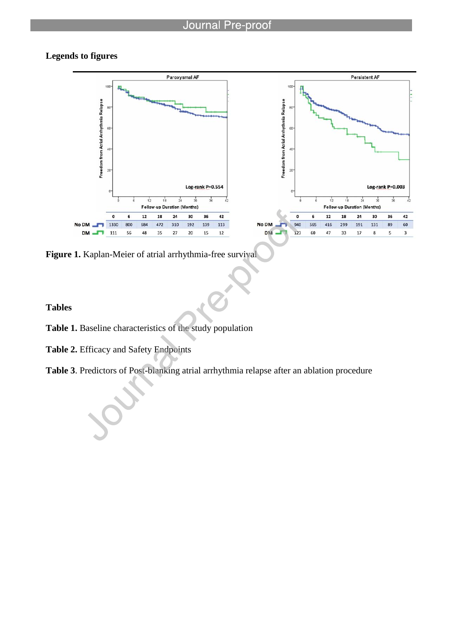# **Legends to figures**



**Figure 1.** Kaplan-Meier of atrial arrhythmia-free survival

l

**Tables**

- **Table 1.** Baseline characteristics of the study population
- **Table 2.** Efficacy and Safety Endpoints

**Table 3**. Predictors of Post-blanking atrial arrhythmia relapse after an ablation procedure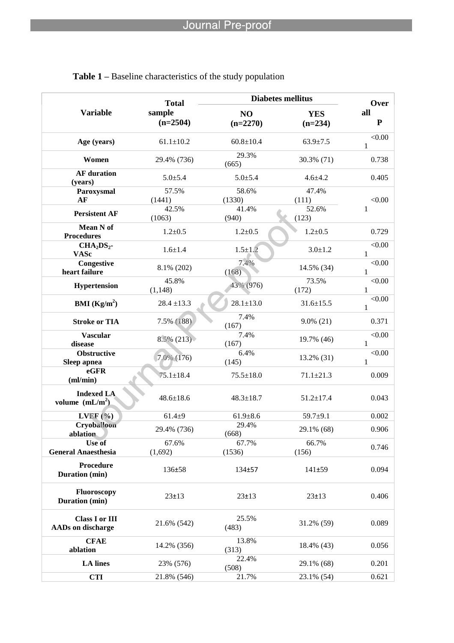|                                                   | <b>Total</b>         | <b>Diabetes mellitus</b>     | Over                    |                        |  |
|---------------------------------------------------|----------------------|------------------------------|-------------------------|------------------------|--|
| <b>Variable</b>                                   | sample<br>$(n=2504)$ | N <sub>O</sub><br>$(n=2270)$ | <b>YES</b><br>$(n=234)$ | all<br>${\bf P}$       |  |
| Age (years)                                       | $61.1 \pm 10.2$      | $60.8 \pm 10.4$              | $63.9 \pm 7.5$          | < 0.00<br>1            |  |
| Women                                             | 29.4% (736)          | 29.3%<br>(665)               | 30.3% (71)              | 0.738                  |  |
| <b>AF</b> duration<br>(years)                     | $5.0 \pm 5.4$        | $5.0{\pm}5.4$                | $4.6 + 4.2$             | 0.405                  |  |
| Paroxysmal<br>AF                                  | 57.5%<br>(1441)      | 58.6%<br>(1330)              | 47.4%<br>(111)          | < 0.00                 |  |
| <b>Persistent AF</b>                              | 42.5%<br>(1063)      | 41.4%<br>(940)               | 52.6%<br>(123)          | 1                      |  |
| Mean N of<br><b>Procedures</b>                    | $1.2 + 0.5$          | $1.2 + 0.5$                  | $1.2 + 0.5$             | 0.729                  |  |
| $CHA2DS2$ -<br><b>VASc</b>                        | $1.6 + 1.4$          | $1.5 \pm 1.2$                | $3.0 \pm 1.2$           | < 0.00<br>1            |  |
| Congestive<br>heart failure                       | 8.1% (202)           | 7.4%<br>(168)                | 14.5% (34)              | < 0.00<br>1            |  |
| Hypertension                                      | 45.8%<br>(1, 148)    | 43% (976)                    | 73.5%<br>(172)          | < 0.00<br>1            |  |
| <b>BMI</b> ( $\text{Kg/m}^2$ )                    | $28.4 \pm 13.3$      | $28.1 \pm 13.0$              | $31.6 \pm 15.5$         | < 0.00<br>1            |  |
| <b>Stroke or TIA</b>                              | 7.5% (188)           | 7.4%<br>(167)                | $9.0\%$ (21)            | 0.371                  |  |
| <b>Vascular</b><br>disease                        | $8.5\%$ (213)        | 7.4%<br>(167)                | 19.7% (46)              | < 0.00<br>$\mathbf{1}$ |  |
| <b>Obstructive</b><br>Sleep apnea                 | 7.0% (176)           | 6.4%<br>(145)                | 13.2% (31)              | < 0.00<br>1            |  |
| eGFR<br>ml/min)                                   | $75.1 \pm 18.4$      | $75.5 \pm 18.0$              | $71.1 \pm 21.3$         | 0.009                  |  |
| <b>Indexed LA</b><br>volume $(mL/m2)$             | $48.6 \pm 18.6$      | $48.3 \pm 18.7$              | $51.2 \pm 17.4$         | 0.043                  |  |
| $LVEF$ (%)                                        | $61.4 + 9$           | $61.9 \pm 8.6$               | $59.7 + 9.1$            | 0.002                  |  |
| Cryoballoon<br>ablation                           | 29.4% (736)          | 29.4%<br>(668)               | 29.1% (68)              | 0.906                  |  |
| Use of<br><b>General Anaesthesia</b>              | 67.6%<br>(1,692)     | 67.7%<br>(1536)              | 66.7%<br>(156)          | 0.746                  |  |
| <b>Procedure</b><br>Duration (min)                | 136±58               | 134±57                       | 141±59                  | 0.094                  |  |
| <b>Fluoroscopy</b><br>Duration (min)              | $23 \pm 13$          | $23 \pm 13$                  | $23 \pm 13$             | 0.406                  |  |
| <b>Class I or III</b><br><b>AADs</b> on discharge | 21.6% (542)          | 25.5%<br>(483)               | 31.2% (59)              | 0.089                  |  |
| <b>CFAE</b><br>ablation                           | 14.2% (356)          | 13.8%<br>(313)               | 18.4% (43)              | 0.056                  |  |
| <b>LA</b> lines                                   | 23% (576)            | 22.4%<br>(508)               | 29.1% (68)              | 0.201                  |  |
| 21.8% (546)<br><b>CTI</b>                         |                      | 21.7%                        | 23.1% (54)              | 0.621                  |  |

# **Table 1 –** Baseline characteristics of the study population

l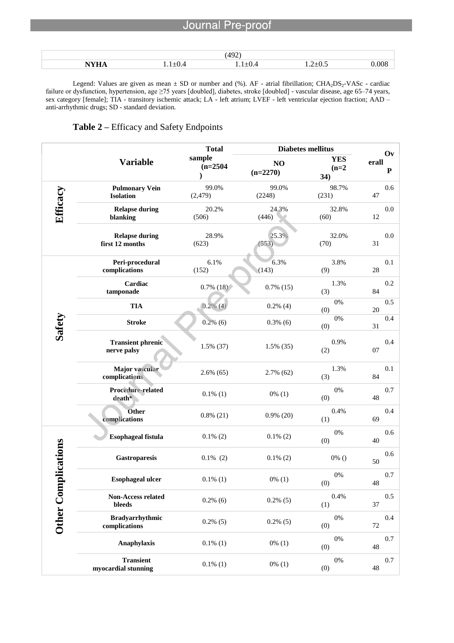|       | AOP<br>- |  |
|-------|----------|--|
| _____ |          |  |

Legend: Values are given as mean  $\pm$  SD or number and (%). AF - atrial fibrillation; CHA<sub>2</sub>DS<sub>2</sub>-VASc - cardiac failure or dysfunction, hypertension, age ≥75 years [doubled], diabetes, stroke [doubled] - vascular disease, age 65–74 years, sex category [female]; TIA - transitory ischemic attack; LA - left atrium; LVEF - left ventricular ejection fraction; AAD – anti-arrhythmic drugs; SD - standard deviation.

# **Table 2 –** Efficacy and Safety Endpoints

l

|            |                                           | <b>Total</b>         | <b>Diabetes mellitus</b> | Ov                           |                    |
|------------|-------------------------------------------|----------------------|--------------------------|------------------------------|--------------------|
|            | <b>Variable</b>                           | sample<br>$(n=2504)$ | NO<br>$(n=2270)$         | <b>YES</b><br>$(n=2)$<br>34) | erall<br>${\bf P}$ |
|            | <b>Pulmonary Vein</b><br><b>Isolation</b> | 99.0%<br>(2, 479)    | 99.0%<br>(2248)          | 98.7%<br>(231)               | 0.6<br>47          |
| Efficacy   | <b>Relapse during</b><br>blanking         | 20.2%<br>(506)       | 24.3%<br>(446)           | 32.8%<br>(60)                | 0.0<br>12          |
|            | <b>Relapse during</b><br>first 12 months  | 28.9%<br>(623)       | 25.3%<br>(553)           | 32.0%<br>(70)                | 0.0<br>31          |
|            | Peri-procedural<br>complications          | 6.1%<br>(152)        | 6.3%<br>(143)            | 3.8%<br>(9)                  | 0.1<br>28          |
|            | Cardiac<br>tamponade                      | $0.7\%$ (18)         | $0.7\%$ (15)             | 1.3%<br>(3)                  | 0.2<br>84          |
|            | <b>TIA</b>                                | $0.2\%$ (4)          | $0.2\%$ (4)              | 0%<br>(0)                    | 0.5<br>20          |
| Safety     | <b>Stroke</b>                             | $0.2\%$ (6)          | $0.3\%$ (6)              | 0%<br>(0)                    | 0.4<br>31          |
|            | <b>Transient phrenic</b><br>nerve palsy   | 1.5% (37)            | $1.5\%$ (35)             | 0.9%<br>(2)                  | 0.4<br>07          |
|            | <b>Major</b> vascular<br>complications    | $2.6\%$ (65)         | $2.7\%$ (62)             | 1.3%<br>(3)                  | 0.1<br>84          |
|            | Procedure-related<br>$death*$             | $0.1\%$ (1)          | $0\%$ (1)                | 0%<br>(0)                    | 0.7<br>48          |
|            | Other<br>complications                    | $0.8\%$ (21)         | $0.9\%$ (20)             | 0.4%<br>(1)                  | 0.4<br>69          |
|            | <b>Esophageal fistula</b>                 | $0.1\%$ (2)          | $0.1\%$ (2)              | 0%<br>(0)                    | 0.6<br>40          |
| plications | Gastroparesis                             | $0.1\%$ (2)          | $0.1\%$ (2)              | $0\%$ ()                     | 0.6<br>50          |
| Other Com  | <b>Esophageal ulcer</b>                   | $0.1\%$ (1)          | $0\%$ (1)                | 0%<br>(0)                    | 0.7<br>48          |
|            | Non-Access related<br>bleeds              | $0.2\%$ (6)          | $0.2\%$ (5)              | 0.4%<br>(1)                  | 0.5<br>37          |
|            | <b>Bradyarrhythmic</b><br>complications   | $0.2\%$ (5)          | $0.2\%$ (5)              | $0\%$<br>(0)                 | 0.4<br>72          |
|            | Anaphylaxis                               | $0.1\%$ (1)          | $0\%$ (1)                | $0\%$<br>(0)                 | 0.7<br>48          |
|            | <b>Transient</b><br>myocardial stunning   | $0.1\%$ (1)          | $0\%$ (1)                | $0\%$<br>(0)                 | 0.7<br>48          |